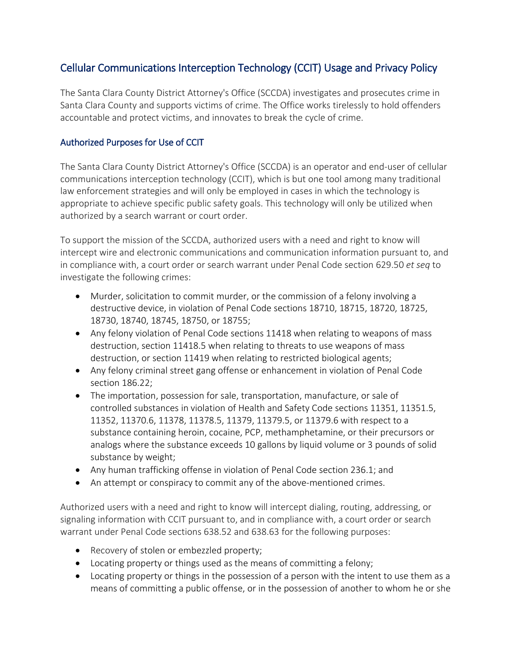# Cellular Communications Interception Technology (CCIT) Usage and Privacy Policy

The Santa Clara County District Attorney's Office (SCCDA) investigates and prosecutes crime in Santa Clara County and supports victims of crime. The Office works tirelessly to hold offenders accountable and protect victims, and innovates to break the cycle of crime.

### Authorized Purposes for Use of CCIT

The Santa Clara County District Attorney's Office (SCCDA) is an operator and end-user of cellular communications interception technology (CCIT), which is but one tool among many traditional law enforcement strategies and will only be employed in cases in which the technology is appropriate to achieve specific public safety goals. This technology will only be utilized when authorized by a search warrant or court order.

To support the mission of the SCCDA, authorized users with a need and right to know will intercept wire and electronic communications and communication information pursuant to, and in compliance with, a court order or search warrant under Penal Code section 629.50 *et seq* to investigate the following crimes:

- Murder, solicitation to commit murder, or the commission of a felony involving a destructive device, in violation of Penal Code sections 18710, 18715, 18720, 18725, 18730, 18740, 18745, 18750, or 18755;
- Any felony violation of Penal Code sections 11418 when relating to weapons of mass destruction, section 11418.5 when relating to threats to use weapons of mass destruction, or section 11419 when relating to restricted biological agents;
- Any felony criminal street gang offense or enhancement in violation of Penal Code section 186.22;
- The importation, possession for sale, transportation, manufacture, or sale of controlled substances in violation of Health and Safety Code sections 11351, 11351.5, 11352, 11370.6, 11378, 11378.5, 11379, 11379.5, or 11379.6 with respect to a substance containing heroin, cocaine, PCP, methamphetamine, or their precursors or analogs where the substance exceeds 10 gallons by liquid volume or 3 pounds of solid substance by weight;
- Any human trafficking offense in violation of Penal Code section 236.1; and
- An attempt or conspiracy to commit any of the above-mentioned crimes.

Authorized users with a need and right to know will intercept dialing, routing, addressing, or signaling information with CCIT pursuant to, and in compliance with, a court order or search warrant under Penal Code sections 638.52 and 638.63 for the following purposes:

- Recovery of stolen or embezzled property;
- Locating property or things used as the means of committing a felony;
- Locating property or things in the possession of a person with the intent to use them as a means of committing a public offense, or in the possession of another to whom he or she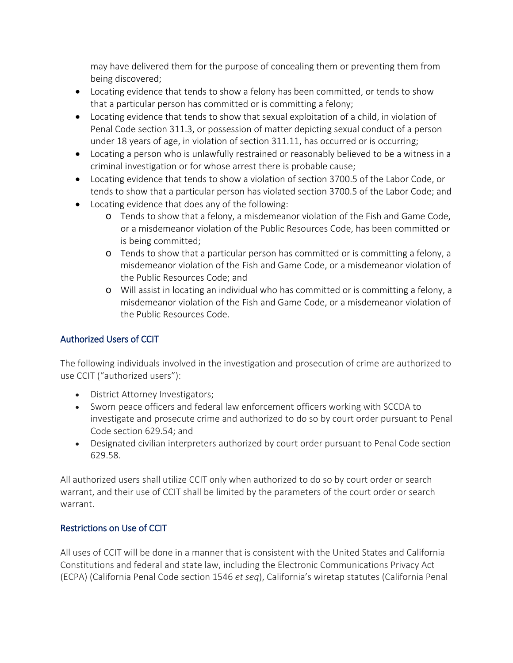may have delivered them for the purpose of concealing them or preventing them from being discovered;

- Locating evidence that tends to show a felony has been committed, or tends to show that a particular person has committed or is committing a felony;
- Locating evidence that tends to show that sexual exploitation of a child, in violation of Penal Code section 311.3, or possession of matter depicting sexual conduct of a person under 18 years of age, in violation of section 311.11, has occurred or is occurring;
- Locating a person who is unlawfully restrained or reasonably believed to be a witness in a criminal investigation or for whose arrest there is probable cause;
- Locating evidence that tends to show a violation of section 3700.5 of the Labor Code, or tends to show that a particular person has violated section 3700.5 of the Labor Code; and
- Locating evidence that does any of the following:
	- o Tends to show that a felony, a misdemeanor violation of the Fish and Game Code, or a misdemeanor violation of the Public Resources Code, has been committed or is being committed;
	- o Tends to show that a particular person has committed or is committing a felony, a misdemeanor violation of the Fish and Game Code, or a misdemeanor violation of the Public Resources Code; and
	- o Will assist in locating an individual who has committed or is committing a felony, a misdemeanor violation of the Fish and Game Code, or a misdemeanor violation of the Public Resources Code.

## Authorized Users of CCIT

The following individuals involved in the investigation and prosecution of crime are authorized to use CCIT ("authorized users"):

- District Attorney Investigators;
- Sworn peace officers and federal law enforcement officers working with SCCDA to investigate and prosecute crime and authorized to do so by court order pursuant to Penal Code section 629.54; and
- Designated civilian interpreters authorized by court order pursuant to Penal Code section 629.58.

All authorized users shall utilize CCIT only when authorized to do so by court order or search warrant, and their use of CCIT shall be limited by the parameters of the court order or search warrant.

## Restrictions on Use of CCIT

All uses of CCIT will be done in a manner that is consistent with the United States and California Constitutions and federal and state law, including the Electronic Communications Privacy Act (ECPA) (California Penal Code section 1546 *et seq*), California's wiretap statutes (California Penal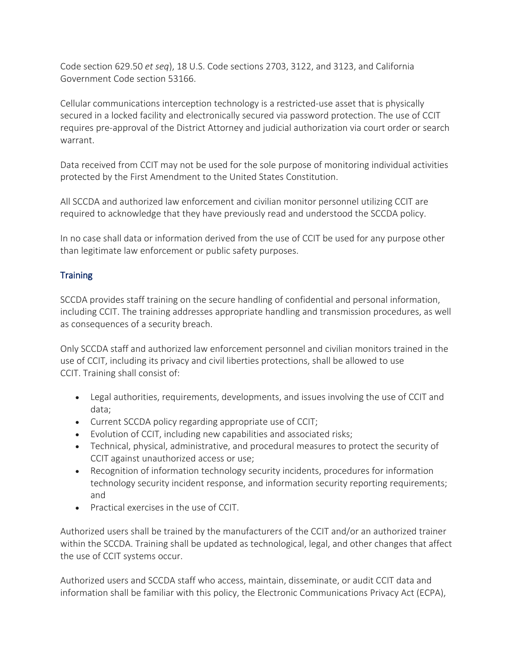Code section 629.50 *et seq*), 18 U.S. Code sections 2703, 3122, and 3123, and California Government Code section 53166.

Cellular communications interception technology is a restricted-use asset that is physically secured in a locked facility and electronically secured via password protection. The use of CCIT requires pre-approval of the District Attorney and judicial authorization via court order or search warrant.

Data received from CCIT may not be used for the sole purpose of monitoring individual activities protected by the First Amendment to the United States Constitution.

All SCCDA and authorized law enforcement and civilian monitor personnel utilizing CCIT are required to acknowledge that they have previously read and understood the SCCDA policy.

In no case shall data or information derived from the use of CCIT be used for any purpose other than legitimate law enforcement or public safety purposes.

## **Training**

SCCDA provides staff training on the secure handling of confidential and personal information, including CCIT. The training addresses appropriate handling and transmission procedures, as well as consequences of a security breach.

Only SCCDA staff and authorized law enforcement personnel and civilian monitors trained in the use of CCIT, including its privacy and civil liberties protections, shall be allowed to use CCIT. Training shall consist of:

- Legal authorities, requirements, developments, and issues involving the use of CCIT and data;
- Current SCCDA policy regarding appropriate use of CCIT;
- Evolution of CCIT, including new capabilities and associated risks;
- Technical, physical, administrative, and procedural measures to protect the security of CCIT against unauthorized access or use;
- Recognition of information technology security incidents, procedures for information technology security incident response, and information security reporting requirements; and
- Practical exercises in the use of CCIT.

Authorized users shall be trained by the manufacturers of the CCIT and/or an authorized trainer within the SCCDA. Training shall be updated as technological, legal, and other changes that affect the use of CCIT systems occur.

Authorized users and SCCDA staff who access, maintain, disseminate, or audit CCIT data and information shall be familiar with this policy, the Electronic Communications Privacy Act (ECPA),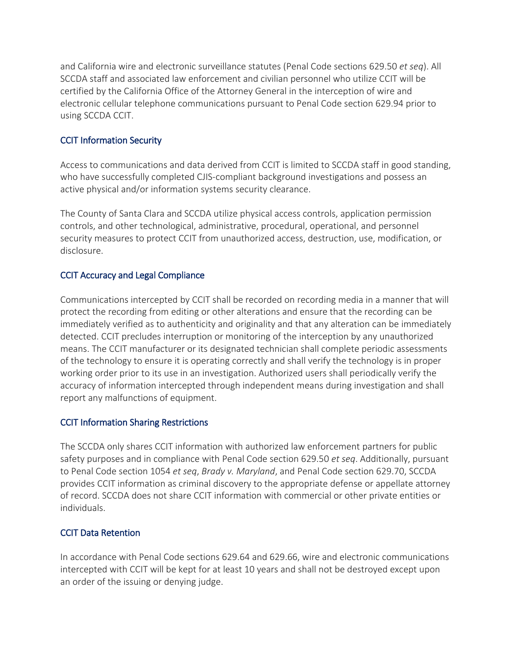and California wire and electronic surveillance statutes (Penal Code sections 629.50 *et seq*). All SCCDA staff and associated law enforcement and civilian personnel who utilize CCIT will be certified by the California Office of the Attorney General in the interception of wire and electronic cellular telephone communications pursuant to Penal Code section 629.94 prior to using SCCDA CCIT.

## CCIT Information Security

Access to communications and data derived from CCIT is limited to SCCDA staff in good standing, who have successfully completed CJIS-compliant background investigations and possess an active physical and/or information systems security clearance.

The County of Santa Clara and SCCDA utilize physical access controls, application permission controls, and other technological, administrative, procedural, operational, and personnel security measures to protect CCIT from unauthorized access, destruction, use, modification, or disclosure.

#### CCIT Accuracy and Legal Compliance

Communications intercepted by CCIT shall be recorded on recording media in a manner that will protect the recording from editing or other alterations and ensure that the recording can be immediately verified as to authenticity and originality and that any alteration can be immediately detected. CCIT precludes interruption or monitoring of the interception by any unauthorized means. The CCIT manufacturer or its designated technician shall complete periodic assessments of the technology to ensure it is operating correctly and shall verify the technology is in proper working order prior to its use in an investigation. Authorized users shall periodically verify the accuracy of information intercepted through independent means during investigation and shall report any malfunctions of equipment.

#### CCIT Information Sharing Restrictions

The SCCDA only shares CCIT information with authorized law enforcement partners for public safety purposes and in compliance with Penal Code section 629.50 *et seq*. Additionally, pursuant to Penal Code section 1054 *et seq*, *Brady v. Maryland*, and Penal Code section 629.70, SCCDA provides CCIT information as criminal discovery to the appropriate defense or appellate attorney of record. SCCDA does not share CCIT information with commercial or other private entities or individuals.

#### CCIT Data Retention

In accordance with Penal Code sections 629.64 and 629.66, wire and electronic communications intercepted with CCIT will be kept for at least 10 years and shall not be destroyed except upon an order of the issuing or denying judge.